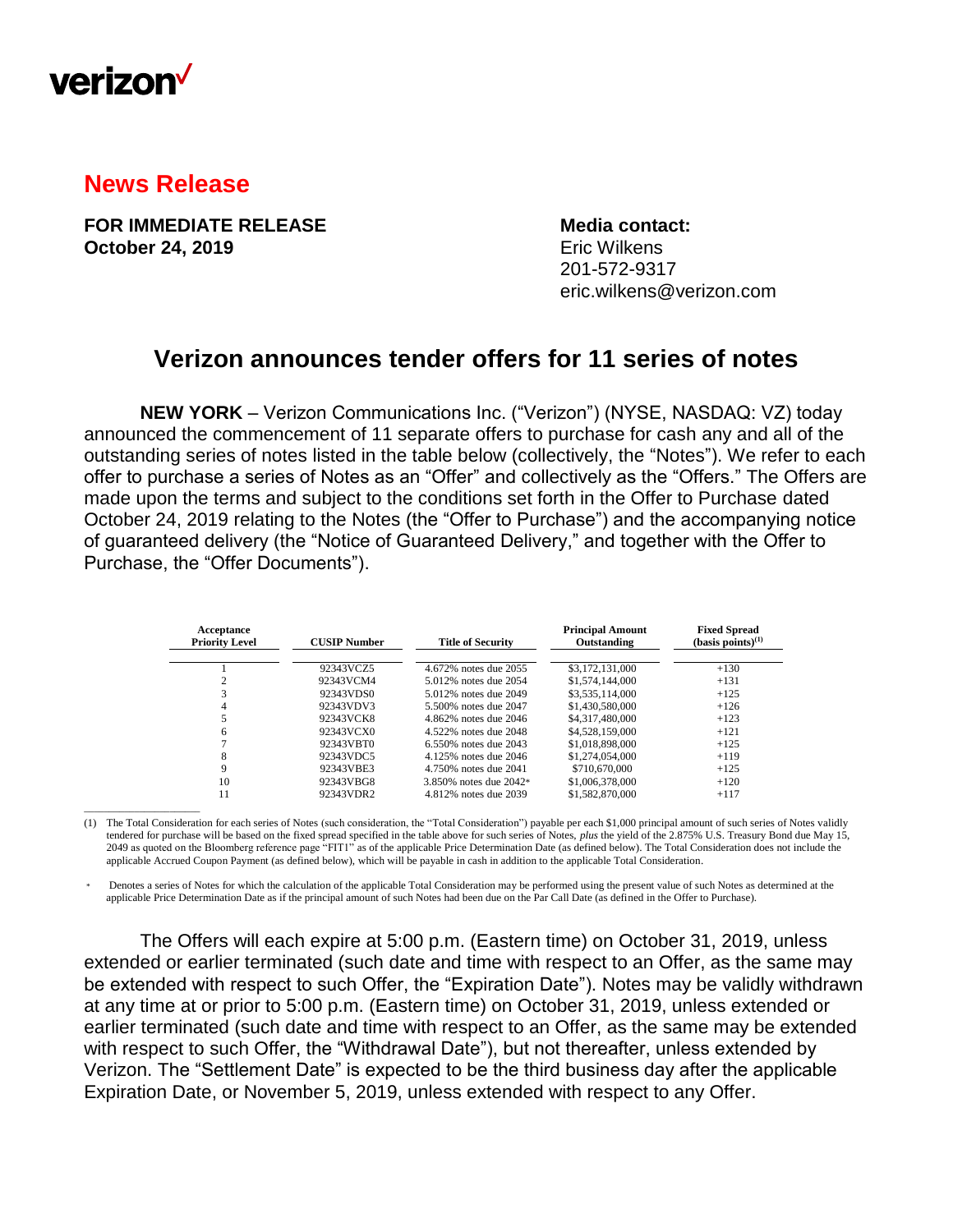

## **News Release**

\_\_\_\_\_\_\_\_\_\_\_\_\_\_\_\_\_\_\_\_\_\_\_

**FOR IMMEDIATE RELEASE Media contact: October 24, 2019** Eric Wilkens

201-572-9317 eric.wilkens@verizon.com

## **Verizon announces tender offers for 11 series of notes**

**NEW YORK** – Verizon Communications Inc. ("Verizon") (NYSE, NASDAQ: VZ) today announced the commencement of 11 separate offers to purchase for cash any and all of the outstanding series of notes listed in the table below (collectively, the "Notes"). We refer to each offer to purchase a series of Notes as an "Offer" and collectively as the "Offers." The Offers are made upon the terms and subject to the conditions set forth in the Offer to Purchase dated October 24, 2019 relating to the Notes (the "Offer to Purchase") and the accompanying notice of guaranteed delivery (the "Notice of Guaranteed Delivery," and together with the Offer to Purchase, the "Offer Documents").

| Acceptance<br><b>Priority Level</b> | <b>CUSIP Number</b> | <b>Title of Security</b> | <b>Principal Amount</b><br>Outstanding | <b>Fixed Spread</b><br>$(basis points)^{(1)}$ |
|-------------------------------------|---------------------|--------------------------|----------------------------------------|-----------------------------------------------|
|                                     | 92343VCZ5           | 4.672% notes due 2055    | \$3,172,131,000                        | $+130$                                        |
|                                     | 92343VCM4           | 5.012\% notes due 2054   | \$1,574,144,000                        | $+131$                                        |
|                                     | 92343VDS0           | 5.012% notes due 2049    | \$3,535,114,000                        | $+125$                                        |
| 4                                   | 92343VDV3           | 5.500% notes due 2047    | \$1,430,580,000                        | $+126$                                        |
|                                     | 92343VCK8           | 4.862% notes due 2046    | \$4,317,480,000                        | $+123$                                        |
| 6                                   | 92343VCX0           | 4.522\% notes due 2048   | \$4,528,159,000                        | $+121$                                        |
|                                     | 92343VBT0           | 6.550% notes due 2043    | \$1,018,898,000                        | $+125$                                        |
| 8                                   | 92343VDC5           | 4.125% notes due 2046    | \$1,274,054,000                        | $+119$                                        |
| 9                                   | 92343VBE3           | 4.750\% notes due 2041   | \$710,670,000                          | $+125$                                        |
| 10                                  | 92343VBG8           | 3.850% notes due 2042*   | \$1,006,378,000                        | $+120$                                        |
| 11                                  | 92343VDR2           | 4.812% notes due 2039    | \$1,582,870,000                        | $+117$                                        |

(1) The Total Consideration for each series of Notes (such consideration, the "Total Consideration") payable per each \$1,000 principal amount of such series of Notes validly tendered for purchase will be based on the fixed spread specified in the table above for such series of Notes, *plus* the yield of the 2.875% U.S. Treasury Bond due May 15, 2049 as quoted on the Bloomberg reference page "FIT1" as of the applicable Price Determination Date (as defined below). The Total Consideration does not include the applicable Accrued Coupon Payment (as defined below), which will be payable in cash in addition to the applicable Total Consideration.

Denotes a series of Notes for which the calculation of the applicable Total Consideration may be performed using the present value of such Notes as determined at the applicable Price Determination Date as if the principal amount of such Notes had been due on the Par Call Date (as defined in the Offer to Purchase).

The Offers will each expire at 5:00 p.m. (Eastern time) on October 31, 2019, unless extended or earlier terminated (such date and time with respect to an Offer, as the same may be extended with respect to such Offer, the "Expiration Date"). Notes may be validly withdrawn at any time at or prior to 5:00 p.m. (Eastern time) on October 31, 2019, unless extended or earlier terminated (such date and time with respect to an Offer, as the same may be extended with respect to such Offer, the "Withdrawal Date"), but not thereafter, unless extended by Verizon. The "Settlement Date" is expected to be the third business day after the applicable Expiration Date, or November 5, 2019, unless extended with respect to any Offer.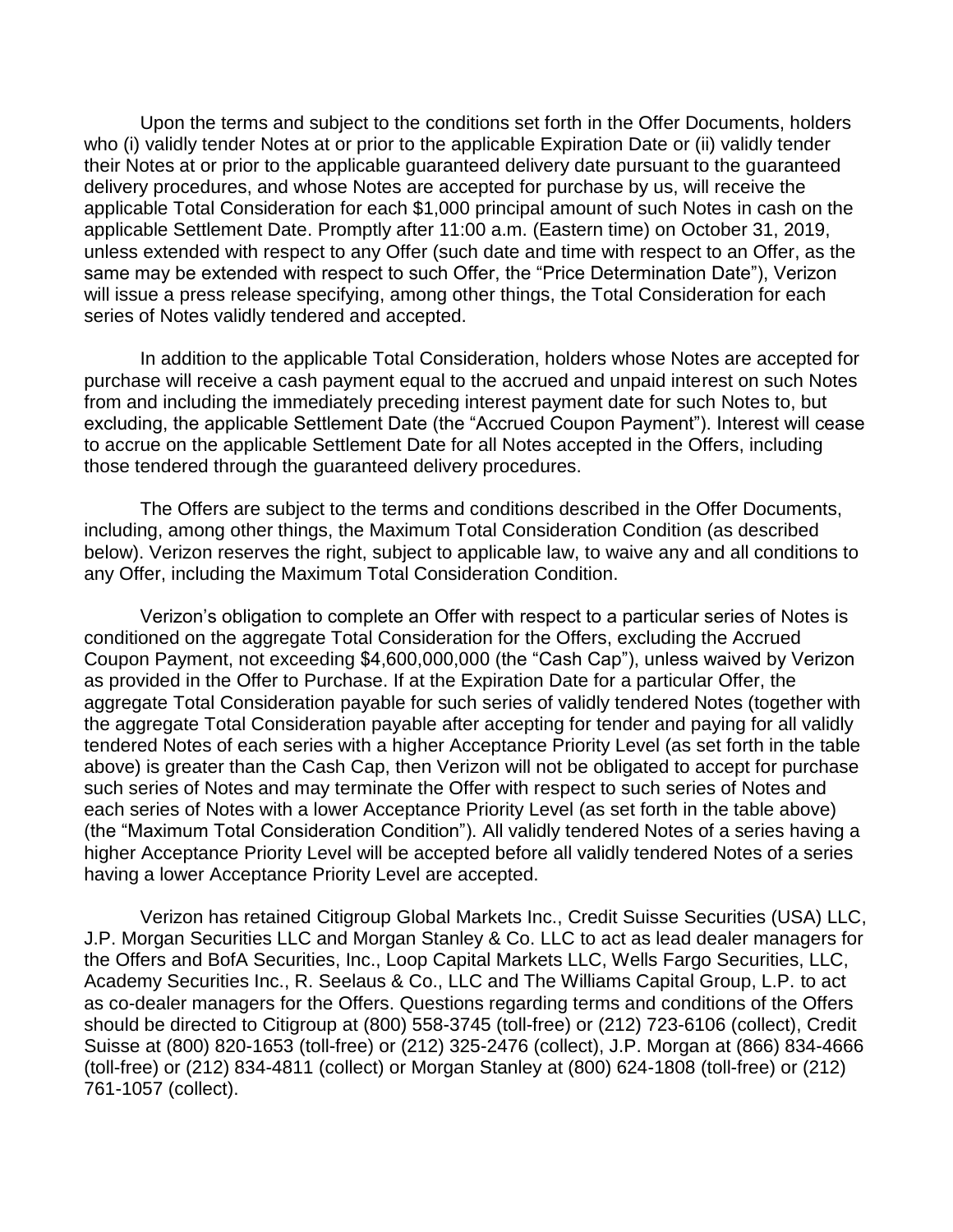Upon the terms and subject to the conditions set forth in the Offer Documents, holders who (i) validly tender Notes at or prior to the applicable Expiration Date or (ii) validly tender their Notes at or prior to the applicable guaranteed delivery date pursuant to the guaranteed delivery procedures, and whose Notes are accepted for purchase by us, will receive the applicable Total Consideration for each \$1,000 principal amount of such Notes in cash on the applicable Settlement Date. Promptly after 11:00 a.m. (Eastern time) on October 31, 2019, unless extended with respect to any Offer (such date and time with respect to an Offer, as the same may be extended with respect to such Offer, the "Price Determination Date"), Verizon will issue a press release specifying, among other things, the Total Consideration for each series of Notes validly tendered and accepted.

In addition to the applicable Total Consideration, holders whose Notes are accepted for purchase will receive a cash payment equal to the accrued and unpaid interest on such Notes from and including the immediately preceding interest payment date for such Notes to, but excluding, the applicable Settlement Date (the "Accrued Coupon Payment"). Interest will cease to accrue on the applicable Settlement Date for all Notes accepted in the Offers, including those tendered through the guaranteed delivery procedures.

The Offers are subject to the terms and conditions described in the Offer Documents, including, among other things, the Maximum Total Consideration Condition (as described below). Verizon reserves the right, subject to applicable law, to waive any and all conditions to any Offer, including the Maximum Total Consideration Condition.

Verizon's obligation to complete an Offer with respect to a particular series of Notes is conditioned on the aggregate Total Consideration for the Offers, excluding the Accrued Coupon Payment, not exceeding \$4,600,000,000 (the "Cash Cap"), unless waived by Verizon as provided in the Offer to Purchase. If at the Expiration Date for a particular Offer, the aggregate Total Consideration payable for such series of validly tendered Notes (together with the aggregate Total Consideration payable after accepting for tender and paying for all validly tendered Notes of each series with a higher Acceptance Priority Level (as set forth in the table above) is greater than the Cash Cap, then Verizon will not be obligated to accept for purchase such series of Notes and may terminate the Offer with respect to such series of Notes and each series of Notes with a lower Acceptance Priority Level (as set forth in the table above) (the "Maximum Total Consideration Condition"). All validly tendered Notes of a series having a higher Acceptance Priority Level will be accepted before all validly tendered Notes of a series having a lower Acceptance Priority Level are accepted.

Verizon has retained Citigroup Global Markets Inc., Credit Suisse Securities (USA) LLC, J.P. Morgan Securities LLC and Morgan Stanley & Co. LLC to act as lead dealer managers for the Offers and BofA Securities, Inc., Loop Capital Markets LLC, Wells Fargo Securities, LLC, Academy Securities Inc., R. Seelaus & Co., LLC and The Williams Capital Group, L.P. to act as co-dealer managers for the Offers. Questions regarding terms and conditions of the Offers should be directed to Citigroup at (800) 558-3745 (toll-free) or (212) 723-6106 (collect), Credit Suisse at (800) 820-1653 (toll-free) or (212) 325-2476 (collect), J.P. Morgan at (866) 834-4666 (toll-free) or (212) 834-4811 (collect) or Morgan Stanley at (800) 624-1808 (toll-free) or (212) 761-1057 (collect).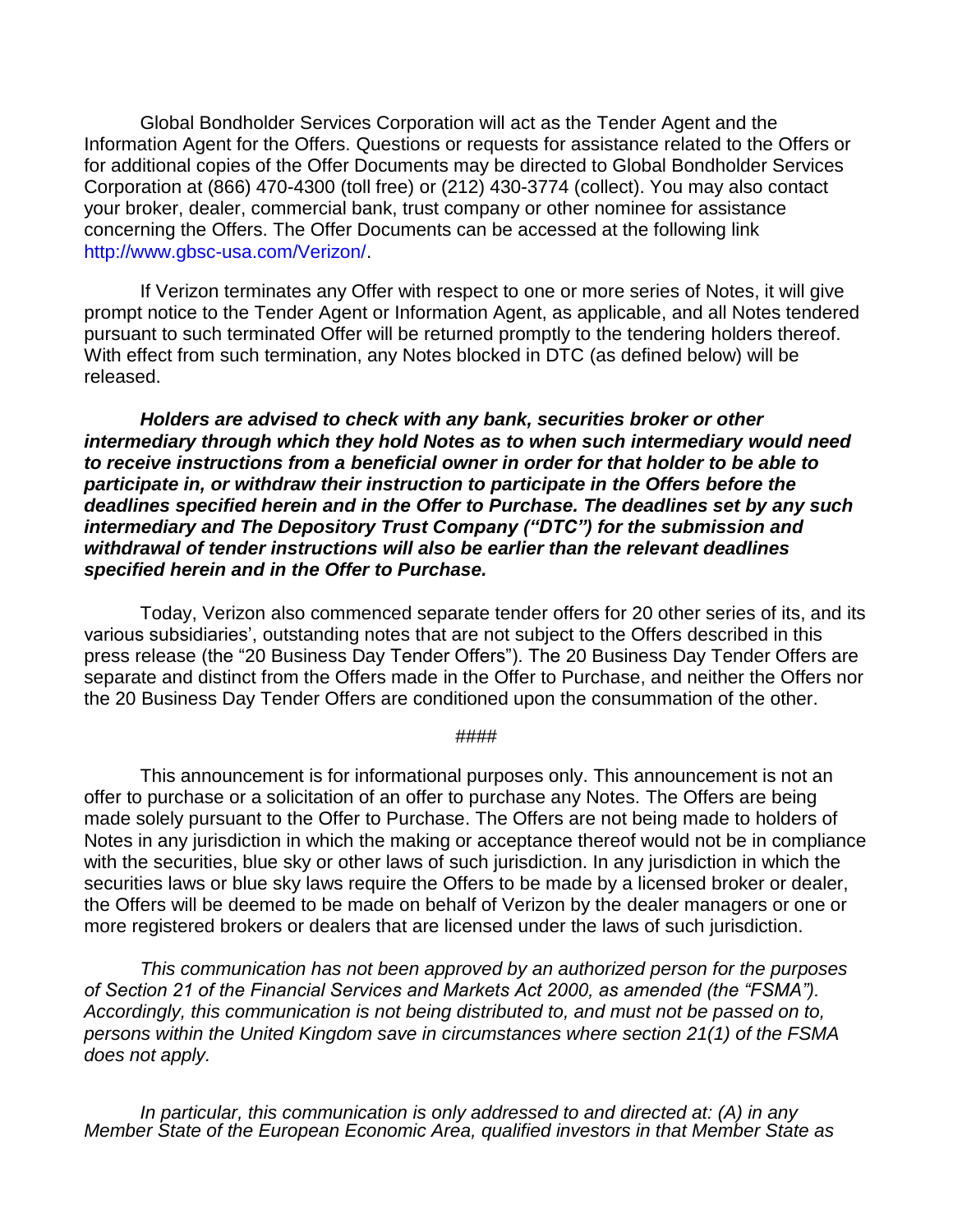Global Bondholder Services Corporation will act as the Tender Agent and the Information Agent for the Offers. Questions or requests for assistance related to the Offers or for additional copies of the Offer Documents may be directed to Global Bondholder Services Corporation at (866) 470-4300 (toll free) or (212) 430-3774 (collect). You may also contact your broker, dealer, commercial bank, trust company or other nominee for assistance concerning the Offers. The Offer Documents can be accessed at the following link [http://www.gbsc-usa.com/Verizon/.](http://www.gbsc-usa.com/Verizon/)

If Verizon terminates any Offer with respect to one or more series of Notes, it will give prompt notice to the Tender Agent or Information Agent, as applicable, and all Notes tendered pursuant to such terminated Offer will be returned promptly to the tendering holders thereof. With effect from such termination, any Notes blocked in DTC (as defined below) will be released.

*Holders are advised to check with any bank, securities broker or other intermediary through which they hold Notes as to when such intermediary would need to receive instructions from a beneficial owner in order for that holder to be able to participate in, or withdraw their instruction to participate in the Offers before the deadlines specified herein and in the Offer to Purchase. The deadlines set by any such intermediary and The Depository Trust Company ("DTC") for the submission and withdrawal of tender instructions will also be earlier than the relevant deadlines specified herein and in the Offer to Purchase.*

Today, Verizon also commenced separate tender offers for 20 other series of its, and its various subsidiaries', outstanding notes that are not subject to the Offers described in this press release (the "20 Business Day Tender Offers"). The 20 Business Day Tender Offers are separate and distinct from the Offers made in the Offer to Purchase, and neither the Offers nor the 20 Business Day Tender Offers are conditioned upon the consummation of the other.

## ####

This announcement is for informational purposes only. This announcement is not an offer to purchase or a solicitation of an offer to purchase any Notes. The Offers are being made solely pursuant to the Offer to Purchase. The Offers are not being made to holders of Notes in any jurisdiction in which the making or acceptance thereof would not be in compliance with the securities, blue sky or other laws of such jurisdiction. In any jurisdiction in which the securities laws or blue sky laws require the Offers to be made by a licensed broker or dealer, the Offers will be deemed to be made on behalf of Verizon by the dealer managers or one or more registered brokers or dealers that are licensed under the laws of such jurisdiction.

*This communication has not been approved by an authorized person for the purposes of Section 21 of the Financial Services and Markets Act 2000, as amended (the "FSMA"). Accordingly, this communication is not being distributed to, and must not be passed on to, persons within the United Kingdom save in circumstances where section 21(1) of the FSMA does not apply.* 

*In particular, this communication is only addressed to and directed at: (A) in any Member State of the European Economic Area, qualified investors in that Member State as*